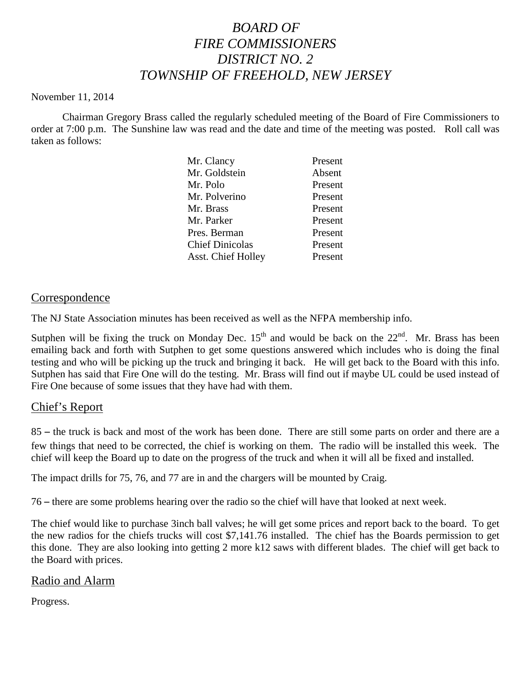# *BOARD OF FIRE COMMISSIONERS DISTRICT NO. 2 TOWNSHIP OF FREEHOLD, NEW JERSEY*

#### November 11, 2014

Chairman Gregory Brass called the regularly scheduled meeting of the Board of Fire Commissioners to order at 7:00 p.m. The Sunshine law was read and the date and time of the meeting was posted. Roll call was taken as follows:

| Mr. Clancy                | Present |
|---------------------------|---------|
| Mr. Goldstein             | Absent  |
| Mr. Polo                  | Present |
| Mr. Polverino             | Present |
| Mr. Brass                 | Present |
| Mr. Parker                | Present |
| Pres. Berman              | Present |
| <b>Chief Dinicolas</b>    | Present |
| <b>Asst. Chief Holley</b> | Present |
|                           |         |

## Correspondence

The NJ State Association minutes has been received as well as the NFPA membership info.

Sutphen will be fixing the truck on Monday Dec.  $15<sup>th</sup>$  and would be back on the  $22<sup>nd</sup>$ . Mr. Brass has been emailing back and forth with Sutphen to get some questions answered which includes who is doing the final testing and who will be picking up the truck and bringing it back. He will get back to the Board with this info. Sutphen has said that Fire One will do the testing. Mr. Brass will find out if maybe UL could be used instead of Fire One because of some issues that they have had with them.

# Chief's Report

85 – the truck is back and most of the work has been done. There are still some parts on order and there are a few things that need to be corrected, the chief is working on them. The radio will be installed this week. The chief will keep the Board up to date on the progress of the truck and when it will all be fixed and installed.

The impact drills for 75, 76, and 77 are in and the chargers will be mounted by Craig.

76 – there are some problems hearing over the radio so the chief will have that looked at next week.

The chief would like to purchase 3inch ball valves; he will get some prices and report back to the board. To get the new radios for the chiefs trucks will cost \$7,141.76 installed. The chief has the Boards permission to get this done. They are also looking into getting 2 more k12 saws with different blades. The chief will get back to the Board with prices.

# Radio and Alarm

Progress.